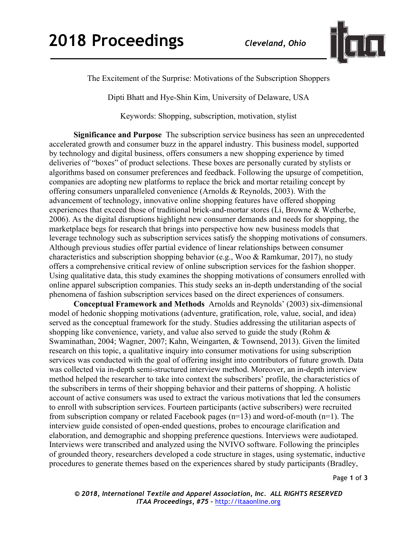

The Excitement of the Surprise: Motivations of the Subscription Shoppers

Dipti Bhatt and Hye-Shin Kim, University of Delaware, USA

Keywords: Shopping, subscription, motivation, stylist

**Significance and Purpose** The subscription service business has seen an unprecedented accelerated growth and consumer buzz in the apparel industry. This business model, supported by technology and digital business, offers consumers a new shopping experience by timed deliveries of "boxes" of product selections. These boxes are personally curated by stylists or algorithms based on consumer preferences and feedback. Following the upsurge of competition, companies are adopting new platforms to replace the brick and mortar retailing concept by offering consumers unparalleled convenience (Arnolds & Reynolds, 2003). With the advancement of technology, innovative online shopping features have offered shopping experiences that exceed those of traditional brick-and-mortar stores (Li, Browne & Wetherbe, 2006). As the digital disruptions highlight new consumer demands and needs for shopping, the marketplace begs for research that brings into perspective how new business models that leverage technology such as subscription services satisfy the shopping motivations of consumers. Although previous studies offer partial evidence of linear relationships between consumer characteristics and subscription shopping behavior (e.g., Woo & Ramkumar, 2017), no study offers a comprehensive critical review of online subscription services for the fashion shopper. Using qualitative data, this study examines the shopping motivations of consumers enrolled with online apparel subscription companies. This study seeks an in-depth understanding of the social phenomena of fashion subscription services based on the direct experiences of consumers.

**Conceptual Framework and Methods** Arnolds and Reynolds' (2003) six-dimensional model of hedonic shopping motivations (adventure, gratification, role, value, social, and idea) served as the conceptual framework for the study. Studies addressing the utilitarian aspects of shopping like convenience, variety, and value also served to guide the study (Rohm & Swaminathan, 2004; Wagner, 2007; Kahn, Weingarten, & Townsend, 2013). Given the limited research on this topic, a qualitative inquiry into consumer motivations for using subscription services was conducted with the goal of offering insight into contributors of future growth. Data was collected via in-depth semi-structured interview method. Moreover, an in-depth interview method helped the researcher to take into context the subscribers' profile, the characteristics of the subscribers in terms of their shopping behavior and their patterns of shopping. A holistic account of active consumers was used to extract the various motivations that led the consumers to enroll with subscription services. Fourteen participants (active subscribers) were recruited from subscription company or related Facebook pages (n=13) and word-of-mouth (n=1). The interview guide consisted of open-ended questions, probes to encourage clarification and elaboration, and demographic and shopping preference questions. Interviews were audiotaped. Interviews were transcribed and analyzed using the NVIVO software. Following the principles of grounded theory, researchers developed a code structure in stages, using systematic, inductive procedures to generate themes based on the experiences shared by study participants (Bradley,

Page **1** of **3**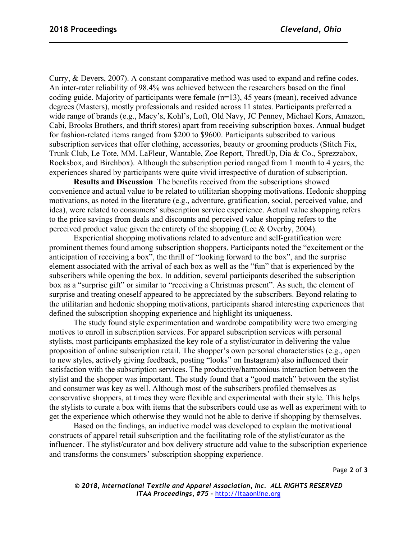Curry, & Devers, 2007). A constant comparative method was used to expand and refine codes. An inter-rater reliability of 98.4% was achieved between the researchers based on the final coding guide. Majority of participants were female (n=13), 45 years (mean), received advance degrees (Masters), mostly professionals and resided across 11 states. Participants preferred a wide range of brands (e.g., Macy's, Kohl's, Loft, Old Navy, JC Penney, Michael Kors, Amazon, Cabi, Brooks Brothers, and thrift stores) apart from receiving subscription boxes. Annual budget for fashion-related items ranged from \$200 to \$9600. Participants subscribed to various subscription services that offer clothing, accessories, beauty or grooming products (Stitch Fix, Trunk Club, Le Tote, MM. LaFleur, Wantable, Zoe Report, ThredUp, Dia & Co., Sprezzabox, Rocksbox, and Birchbox). Although the subscription period ranged from 1 month to 4 years, the experiences shared by participants were quite vivid irrespective of duration of subscription.

**Results and Discussion** The benefits received from the subscriptions showed convenience and actual value to be related to utilitarian shopping motivations. Hedonic shopping motivations, as noted in the literature (e.g., adventure, gratification, social, perceived value, and idea), were related to consumers' subscription service experience. Actual value shopping refers to the price savings from deals and discounts and perceived value shopping refers to the perceived product value given the entirety of the shopping (Lee & Overby, 2004).

Experiential shopping motivations related to adventure and self-gratification were prominent themes found among subscription shoppers. Participants noted the "excitement or the anticipation of receiving a box", the thrill of "looking forward to the box", and the surprise element associated with the arrival of each box as well as the "fun" that is experienced by the subscribers while opening the box. In addition, several participants described the subscription box as a "surprise gift" or similar to "receiving a Christmas present". As such, the element of surprise and treating oneself appeared to be appreciated by the subscribers. Beyond relating to the utilitarian and hedonic shopping motivations, participants shared interesting experiences that defined the subscription shopping experience and highlight its uniqueness.

The study found style experimentation and wardrobe compatibility were two emerging motives to enroll in subscription services. For apparel subscription services with personal stylists, most participants emphasized the key role of a stylist/curator in delivering the value proposition of online subscription retail. The shopper's own personal characteristics (e.g., open to new styles, actively giving feedback, posting "looks" on Instagram) also influenced their satisfaction with the subscription services. The productive/harmonious interaction between the stylist and the shopper was important. The study found that a "good match" between the stylist and consumer was key as well. Although most of the subscribers profiled themselves as conservative shoppers, at times they were flexible and experimental with their style. This helps the stylists to curate a box with items that the subscribers could use as well as experiment with to get the experience which otherwise they would not be able to derive if shopping by themselves.

Based on the findings, an inductive model was developed to explain the motivational constructs of apparel retail subscription and the facilitating role of the stylist/curator as the influencer. The stylist/curator and box delivery structure add value to the subscription experience and transforms the consumers' subscription shopping experience.

Page **2** of **3**

*© 2018, International Textile and Apparel Association, Inc. ALL RIGHTS RESERVED ITAA Proceedings, #75 –* http://itaaonline.org